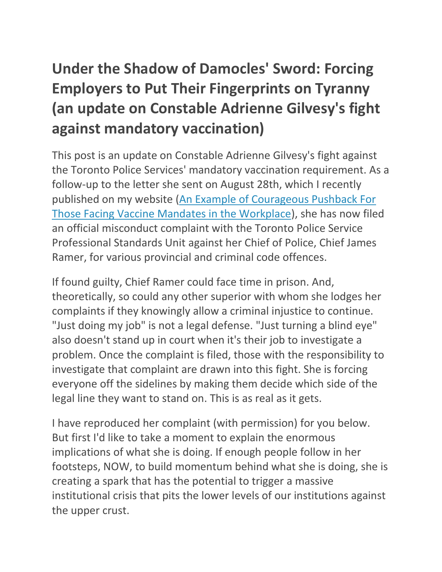# **Under the Shadow of Damocles' Sword: Forcing Employers to Put Their Fingerprints on Tyranny (an update on Constable Adrienne Gilvesy's fight against mandatory vaccination)**

This post is an update on Constable Adrienne Gilvesy's fight against the Toronto Police Services' mandatory vaccination requirement. As a follow-up to the letter she sent on August 28th, which I recently published on my website [\(An Example of Courageous Pushback For](https://www.juliusruechel.com/2021/08/an-example-of-courageous-pushback-for.html)  [Those Facing Vaccine Mandates in the Workplace\)](https://www.juliusruechel.com/2021/08/an-example-of-courageous-pushback-for.html), she has now filed an official misconduct complaint with the Toronto Police Service Professional Standards Unit against her Chief of Police, Chief James Ramer, for various provincial and criminal code offences.

If found guilty, Chief Ramer could face time in prison. And, theoretically, so could any other superior with whom she lodges her complaints if they knowingly allow a criminal injustice to continue. "Just doing my job" is not a legal defense. "Just turning a blind eye" also doesn't stand up in court when it's their job to investigate a problem. Once the complaint is filed, those with the responsibility to investigate that complaint are drawn into this fight. She is forcing everyone off the sidelines by making them decide which side of the legal line they want to stand on. This is as real as it gets.

I have reproduced her complaint (with permission) for you below. But first I'd like to take a moment to explain the enormous implications of what she is doing. If enough people follow in her footsteps, NOW, to build momentum behind what she is doing, she is creating a spark that has the potential to trigger a massive institutional crisis that pits the lower levels of our institutions against the upper crust.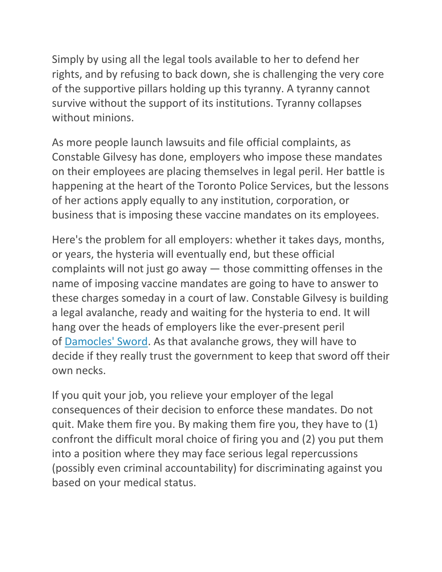Simply by using all the legal tools available to her to defend her rights, and by refusing to back down, she is challenging the very core of the supportive pillars holding up this tyranny. A tyranny cannot survive without the support of its institutions. Tyranny collapses without minions.

As more people launch lawsuits and file official complaints, as Constable Gilvesy has done, employers who impose these mandates on their employees are placing themselves in legal peril. Her battle is happening at the heart of the Toronto Police Services, but the lessons of her actions apply equally to any institution, corporation, or business that is imposing these vaccine mandates on its employees.

Here's the problem for all employers: whether it takes days, months, or years, the hysteria will eventually end, but these official complaints will not just go away — those committing offenses in the name of imposing vaccine mandates are going to have to answer to these charges someday in a court of law. Constable Gilvesy is building a legal avalanche, ready and waiting for the hysteria to end. It will hang over the heads of employers like the ever-present peril of **Damocles' Sword**. As that avalanche grows, they will have to decide if they really trust the government to keep that sword off their own necks.

If you quit your job, you relieve your employer of the legal consequences of their decision to enforce these mandates. Do not quit. Make them fire you. By making them fire you, they have to (1) confront the difficult moral choice of firing you and (2) you put them into a position where they may face serious legal repercussions (possibly even criminal accountability) for discriminating against you based on your medical status.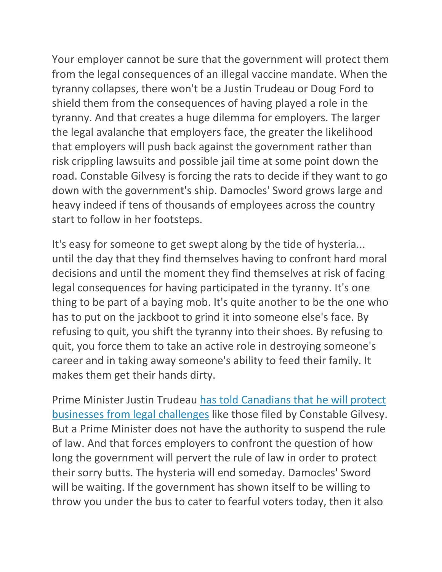Your employer cannot be sure that the government will protect them from the legal consequences of an illegal vaccine mandate. When the tyranny collapses, there won't be a Justin Trudeau or Doug Ford to shield them from the consequences of having played a role in the tyranny. And that creates a huge dilemma for employers. The larger the legal avalanche that employers face, the greater the likelihood that employers will push back against the government rather than risk crippling lawsuits and possible jail time at some point down the road. Constable Gilvesy is forcing the rats to decide if they want to go down with the government's ship. Damocles' Sword grows large and heavy indeed if tens of thousands of employees across the country start to follow in her footsteps.

It's easy for someone to get swept along by the tide of hysteria... until the day that they find themselves having to confront hard moral decisions and until the moment they find themselves at risk of facing legal consequences for having participated in the tyranny. It's one thing to be part of a baying mob. It's quite another to be the one who has to put on the jackboot to grind it into someone else's face. By refusing to quit, you shift the tyranny into their shoes. By refusing to quit, you force them to take an active role in destroying someone's career and in taking away someone's ability to feed their family. It makes them get their hands dirty.

Prime Minister Justin Trudeau [has told Canadians that he will protect](https://twitter.com/ezralevant/status/1433107894665367557?s=20)  [businesses from legal challenges](https://twitter.com/ezralevant/status/1433107894665367557?s=20) like those filed by Constable Gilvesy. But a Prime Minister does not have the authority to suspend the rule of law. And that forces employers to confront the question of how long the government will pervert the rule of law in order to protect their sorry butts. The hysteria will end someday. Damocles' Sword will be waiting. If the government has shown itself to be willing to throw you under the bus to cater to fearful voters today, then it also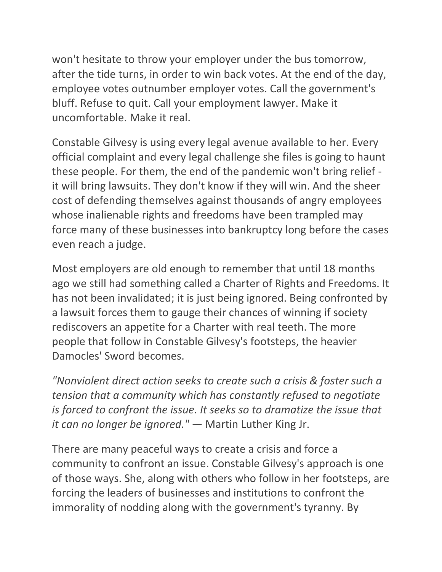won't hesitate to throw your employer under the bus tomorrow, after the tide turns, in order to win back votes. At the end of the day, employee votes outnumber employer votes. Call the government's bluff. Refuse to quit. Call your employment lawyer. Make it uncomfortable. Make it real.

Constable Gilvesy is using every legal avenue available to her. Every official complaint and every legal challenge she files is going to haunt these people. For them, the end of the pandemic won't bring relief it will bring lawsuits. They don't know if they will win. And the sheer cost of defending themselves against thousands of angry employees whose inalienable rights and freedoms have been trampled may force many of these businesses into bankruptcy long before the cases even reach a judge.

Most employers are old enough to remember that until 18 months ago we still had something called a Charter of Rights and Freedoms. It has not been invalidated; it is just being ignored. Being confronted by a lawsuit forces them to gauge their chances of winning if society rediscovers an appetite for a Charter with real teeth. The more people that follow in Constable Gilvesy's footsteps, the heavier Damocles' Sword becomes.

*"Nonviolent direct action seeks to create such a crisis & foster such a tension that a community which has constantly refused to negotiate is forced to confront the issue. It seeks so to dramatize the issue that it can no longer be ignored."* — Martin Luther King Jr.

There are many peaceful ways to create a crisis and force a community to confront an issue. Constable Gilvesy's approach is one of those ways. She, along with others who follow in her footsteps, are forcing the leaders of businesses and institutions to confront the immorality of nodding along with the government's tyranny. By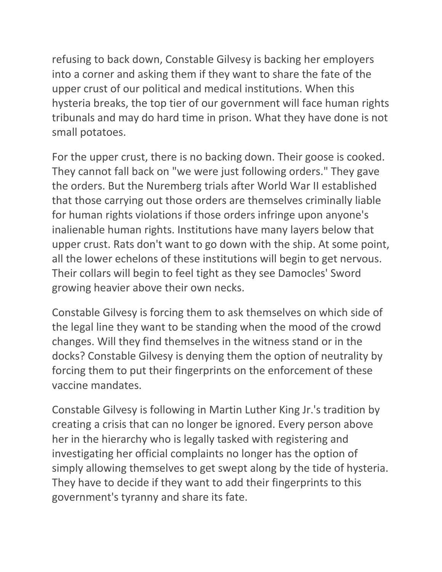refusing to back down, Constable Gilvesy is backing her employers into a corner and asking them if they want to share the fate of the upper crust of our political and medical institutions. When this hysteria breaks, the top tier of our government will face human rights tribunals and may do hard time in prison. What they have done is not small potatoes.

For the upper crust, there is no backing down. Their goose is cooked. They cannot fall back on "we were just following orders." They gave the orders. But the Nuremberg trials after World War II established that those carrying out those orders are themselves criminally liable for human rights violations if those orders infringe upon anyone's inalienable human rights. Institutions have many layers below that upper crust. Rats don't want to go down with the ship. At some point, all the lower echelons of these institutions will begin to get nervous. Their collars will begin to feel tight as they see Damocles' Sword growing heavier above their own necks.

Constable Gilvesy is forcing them to ask themselves on which side of the legal line they want to be standing when the mood of the crowd changes. Will they find themselves in the witness stand or in the docks? Constable Gilvesy is denying them the option of neutrality by forcing them to put their fingerprints on the enforcement of these vaccine mandates.

Constable Gilvesy is following in Martin Luther King Jr.'s tradition by creating a crisis that can no longer be ignored. Every person above her in the hierarchy who is legally tasked with registering and investigating her official complaints no longer has the option of simply allowing themselves to get swept along by the tide of hysteria. They have to decide if they want to add their fingerprints to this government's tyranny and share its fate.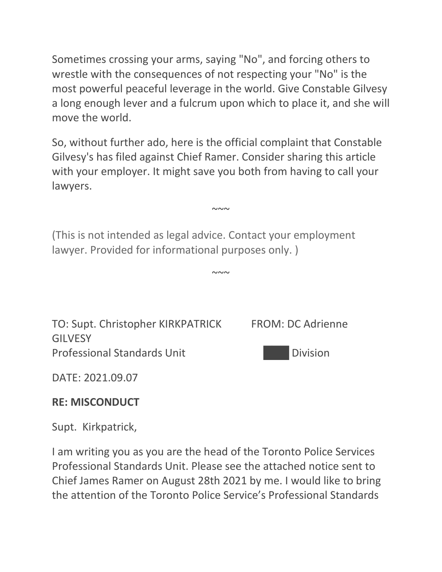Sometimes crossing your arms, saying "No", and forcing others to wrestle with the consequences of not respecting your "No" is the most powerful peaceful leverage in the world. Give Constable Gilvesy a long enough lever and a fulcrum upon which to place it, and she will move the world.

So, without further ado, here is the official complaint that Constable Gilvesy's has filed against Chief Ramer. Consider sharing this article with your employer. It might save you both from having to call your lawyers.

 $\sim\sim\sim$ 

 $\sim\sim\sim$ 

(This is not intended as legal advice. Contact your employment lawyer. Provided for informational purposes only. )



DATE: 2021.09.07

#### **RE: MISCONDUCT**

Supt. Kirkpatrick,

I am writing you as you are the head of the Toronto Police Services Professional Standards Unit. Please see the attached notice sent to Chief James Ramer on August 28th 2021 by me. I would like to bring the attention of the Toronto Police Service's Professional Standards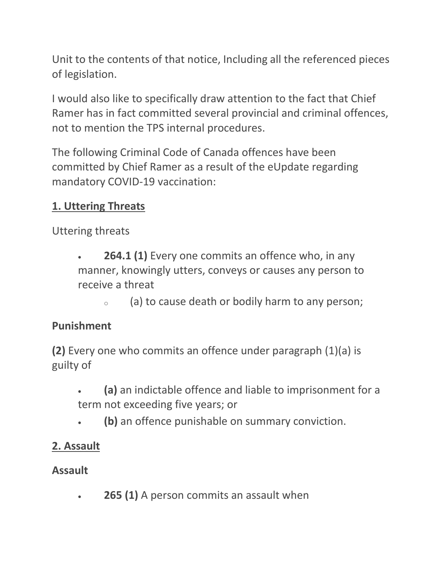Unit to the contents of that notice, Including all the referenced pieces of legislation.

I would also like to specifically draw attention to the fact that Chief Ramer has in fact committed several provincial and criminal offences, not to mention the TPS internal procedures.

The following Criminal Code of Canada offences have been committed by Chief Ramer as a result of the eUpdate regarding mandatory COVID-19 vaccination:

## **1. Uttering Threats**

Uttering threats

- **264.1 (1)** Every one commits an offence who, in any manner, knowingly utters, conveys or causes any person to receive a threat
	- $\circ$  (a) to cause death or bodily harm to any person;

#### **Punishment**

**(2)** Every one who commits an offence under paragraph (1)(a) is guilty of

- **(a)** an indictable offence and liable to imprisonment for a term not exceeding five years; or
- **(b)** an offence punishable on summary conviction.

## **2. Assault**

## **Assault**

**265 (1)** A person commits an assault when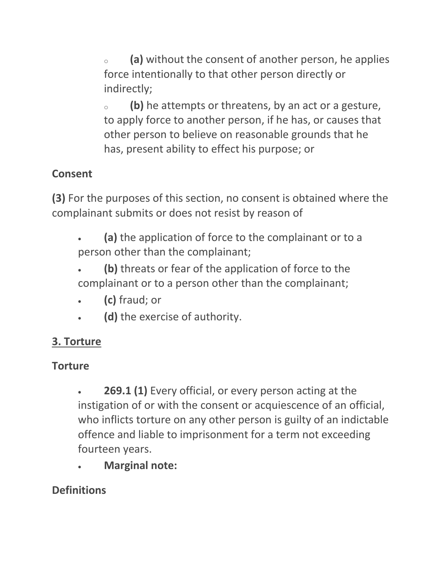(a) without the consent of another person, he applies force intentionally to that other person directly or indirectly;

<sup>o</sup> **(b)** he attempts or threatens, by an act or a gesture, to apply force to another person, if he has, or causes that other person to believe on reasonable grounds that he has, present ability to effect his purpose; or

# **Consent**

**(3)** For the purposes of this section, no consent is obtained where the complainant submits or does not resist by reason of

- **(a)** the application of force to the complainant or to a person other than the complainant;
- **(b)** threats or fear of the application of force to the complainant or to a person other than the complainant;
- **(c)** fraud; or
- **(d)** the exercise of authority.

## **3. Torture**

## **Torture**

 **269.1 (1)** Every official, or every person acting at the instigation of or with the consent or acquiescence of an official, who inflicts torture on any other person is guilty of an indictable offence and liable to imprisonment for a term not exceeding fourteen years.

**Marginal note:**

## **Definitions**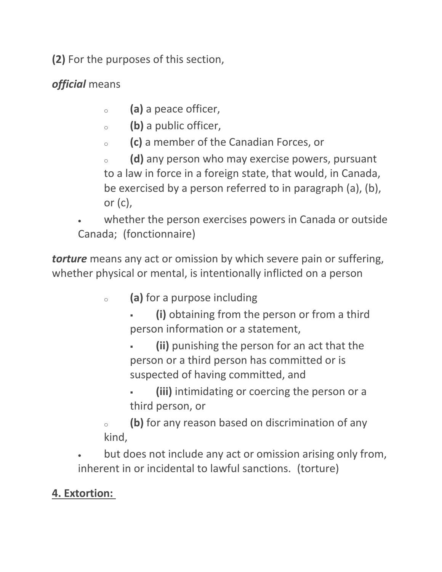**(2)** For the purposes of this section,

*official* means

- <sup>o</sup> **(a)** a peace officer,
- <sup>o</sup> **(b)** a public officer,
- <sup>o</sup> **(c)** a member of the Canadian Forces, or
- <sup>o</sup> **(d)** any person who may exercise powers, pursuant to a law in force in a foreign state, that would, in Canada, be exercised by a person referred to in paragraph (a), (b), or  $(c)$ ,
- whether the person exercises powers in Canada or outside Canada; (fonctionnaire)

*torture* means any act or omission by which severe pain or suffering, whether physical or mental, is intentionally inflicted on a person

- <sup>o</sup> **(a)** for a purpose including
	- **(i)** obtaining from the person or from a third person information or a statement,
	- **(ii)** punishing the person for an act that the person or a third person has committed or is suspected of having committed, and
	- **(iii)** intimidating or coercing the person or a third person, or
- <sup>o</sup> **(b)** for any reason based on discrimination of any kind,
- but does not include any act or omission arising only from, inherent in or incidental to lawful sanctions. (torture)

#### **4. Extortion:**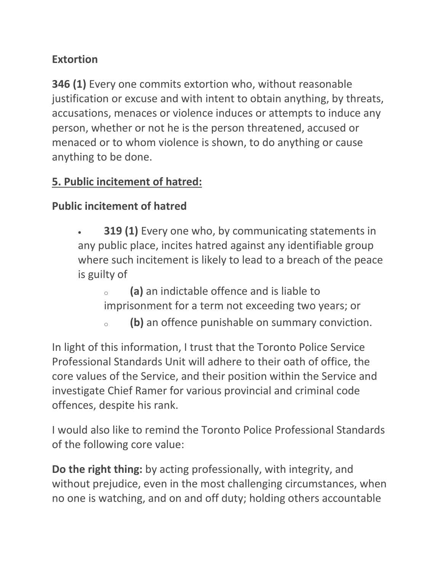#### **Extortion**

**346 (1)** Every one commits extortion who, without reasonable justification or excuse and with intent to obtain anything, by threats, accusations, menaces or violence induces or attempts to induce any person, whether or not he is the person threatened, accused or menaced or to whom violence is shown, to do anything or cause anything to be done.

#### **5. Public incitement of hatred:**

## **Public incitement of hatred**

- **319 (1)** Every one who, by communicating statements in any public place, incites hatred against any identifiable group where such incitement is likely to lead to a breach of the peace is guilty of
	- <sup>o</sup> **(a)** an indictable offence and is liable to imprisonment for a term not exceeding two years; or
	- <sup>o</sup> **(b)** an offence punishable on summary conviction.

In light of this information, I trust that the Toronto Police Service Professional Standards Unit will adhere to their oath of office, the core values of the Service, and their position within the Service and investigate Chief Ramer for various provincial and criminal code offences, despite his rank.

I would also like to remind the Toronto Police Professional Standards of the following core value:

**Do the right thing:** by acting professionally, with integrity, and without prejudice, even in the most challenging circumstances, when no one is watching, and on and off duty; holding others accountable